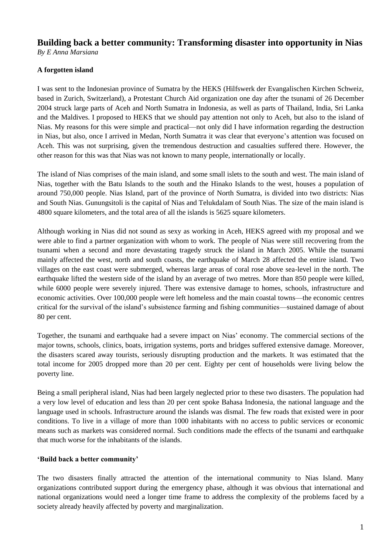# **Building back a better community: Transforming disaster into opportunity in Nias**

*By E Anna Marsiana*

# **A forgotten island**

I was sent to the Indonesian province of Sumatra by the HEKS (Hilfswerk der Evangalischen Kirchen Schweiz, based in Zurich, Switzerland), a Protestant Church Aid organization one day after the tsunami of 26 December 2004 struck large parts of Aceh and North Sumatra in Indonesia, as well as parts of Thailand, India, Sri Lanka and the Maldives. I proposed to HEKS that we should pay attention not only to Aceh, but also to the island of Nias. My reasons for this were simple and practical—not only did I have information regarding the destruction in Nias, but also, once I arrived in Medan, North Sumatra it was clear that everyone's attention was focused on Aceh. This was not surprising, given the tremendous destruction and casualties suffered there. However, the other reason for this was that Nias was not known to many people, internationally or locally.

The island of Nias comprises of the main island, and some small islets to the south and west. The main island of Nias, together with the Batu Islands to the south and the Hinako Islands to the west, houses a population of around 750,000 people. Nias Island, part of the province of North Sumatra, is divided into two districts: Nias and South Nias. Gunungsitoli is the capital of Nias and Telukdalam of South Nias. The size of the main island is 4800 square kilometers, and the total area of all the islands is 5625 square kilometers.

Although working in Nias did not sound as sexy as working in Aceh, HEKS agreed with my proposal and we were able to find a partner organization with whom to work. The people of Nias were still recovering from the tsunami when a second and more devastating tragedy struck the island in March 2005. While the tsunami mainly affected the west, north and south coasts, the earthquake of March 28 affected the entire island. Two villages on the east coast were submerged, whereas large areas of coral rose above sea-level in the north. The earthquake lifted the western side of the island by an average of two metres. More than 850 people were killed, while 6000 people were severely injured. There was extensive damage to homes, schools, infrastructure and economic activities. Over 100,000 people were left homeless and the main coastal towns—the economic centres critical for the survival of the island's subsistence farming and fishing communities—sustained damage of about 80 per cent.

Together, the tsunami and earthquake had a severe impact on Nias' economy. The commercial sections of the major towns, schools, clinics, boats, irrigation systems, ports and bridges suffered extensive damage. Moreover, the disasters scared away tourists, seriously disrupting production and the markets. It was estimated that the total income for 2005 dropped more than 20 per cent. Eighty per cent of households were living below the poverty line.

Being a small peripheral island, Nias had been largely neglected prior to these two disasters. The population had a very low level of education and less than 20 per cent spoke Bahasa Indonesia, the national language and the language used in schools. Infrastructure around the islands was dismal. The few roads that existed were in poor conditions. To live in a village of more than 1000 inhabitants with no access to public services or economic means such as markets was considered normal. Such conditions made the effects of the tsunami and earthquake that much worse for the inhabitants of the islands.

# **'Build back a better community'**

The two disasters finally attracted the attention of the international community to Nias Island. Many organizations contributed support during the emergency phase, although it was obvious that international and national organizations would need a longer time frame to address the complexity of the problems faced by a society already heavily affected by poverty and marginalization.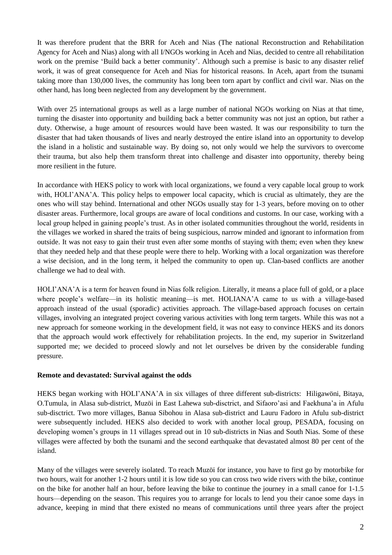It was therefore prudent that the BRR for Aceh and Nias (The national Reconstruction and Rehabilitation Agency for Aceh and Nias) along with all I/NGOs working in Aceh and Nias, decided to centre all rehabilitation work on the premise 'Build back a better community'. Although such a premise is basic to any disaster relief work, it was of great consequence for Aceh and Nias for historical reasons. In Aceh, apart from the tsunami taking more than 130,000 lives, the community has long been torn apart by conflict and civil war. Nias on the other hand, has long been neglected from any development by the government.

With over 25 international groups as well as a large number of national NGOs working on Nias at that time, turning the disaster into opportunity and building back a better community was not just an option, but rather a duty. Otherwise, a huge amount of resources would have been wasted. It was our responsibility to turn the disaster that had taken thousands of lives and nearly destroyed the entire island into an opportunity to develop the island in a holistic and sustainable way. By doing so, not only would we help the survivors to overcome their trauma, but also help them transform threat into challenge and disaster into opportunity, thereby being more resilient in the future.

In accordance with HEKS policy to work with local organizations, we found a very capable local group to work with, HOLI'ANA'A. This policy helps to empower local capacity, which is crucial as ultimately, they are the ones who will stay behind. International and other NGOs usually stay for 1-3 years, before moving on to other disaster areas. Furthermore, local groups are aware of local conditions and customs. In our case, working with a local group helped in gaining people's trust. As in other isolated communities throughout the world, residents in the villages we worked in shared the traits of being suspicious, narrow minded and ignorant to information from outside. It was not easy to gain their trust even after some months of staying with them; even when they knew that they needed help and that these people were there to help. Working with a local organization was therefore a wise decision, and in the long term, it helped the community to open up. Clan-based conflicts are another challenge we had to deal with.

HOLI'ANA'A is a term for heaven found in Nias folk religion. Literally, it means a place full of gold, or a place where people's welfare—in its holistic meaning—is met. HOLIANA'A came to us with a village-based approach instead of the usual (sporadic) activities approach. The village-based approach focuses on certain villages, involving an integrated project covering various activities with long term targets. While this was not a new approach for someone working in the development field, it was not easy to convince HEKS and its donors that the approach would work effectively for rehabilitation projects. In the end, my superior in Switzerland supported me; we decided to proceed slowly and not let ourselves be driven by the considerable funding pressure.

#### **Remote and devastated: Survival against the odds**

HEKS began working with HOLI'ANA'A in six villages of three different sub-districts: Hiligawöni, Bitaya, O.Tumula, in Alasa sub-district, Muzöi in East Lahewa sub-disctrict, and Sifaoro'asi and Faekhuna'a in Afulu sub-disctrict. Two more villages, Banua Sibohou in Alasa sub-district and Lauru Fadoro in Afulu sub-district were subsequently included. HEKS also decided to work with another local group, PESADA, focusing on developing women's groups in 11 villages spread out in 10 sub-districts in Nias and South Nias. Some of these villages were affected by both the tsunami and the second earthquake that devastated almost 80 per cent of the island.

Many of the villages were severely isolated. To reach Muzöi for instance, you have to first go by motorbike for two hours, wait for another 1-2 hours until it is low tide so you can cross two wide rivers with the bike, continue on the bike for another half an hour, before leaving the bike to continue the journey in a small canoe for 1-1.5 hours—depending on the season. This requires you to arrange for locals to lend you their canoe some days in advance, keeping in mind that there existed no means of communications until three years after the project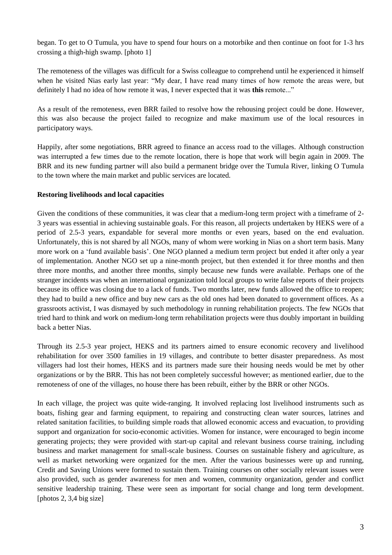began. To get to O Tumula, you have to spend four hours on a motorbike and then continue on foot for 1-3 hrs crossing a thigh-high swamp. [photo 1]

The remoteness of the villages was difficult for a Swiss colleague to comprehend until he experienced it himself when he visited Nias early last year: "My dear, I have read many times of how remote the areas were, but definitely I had no idea of how remote it was, I never expected that it was **this** remote..."

As a result of the remoteness, even BRR failed to resolve how the rehousing project could be done. However, this was also because the project failed to recognize and make maximum use of the local resources in participatory ways.

Happily, after some negotiations, BRR agreed to finance an access road to the villages. Although construction was interrupted a few times due to the remote location, there is hope that work will begin again in 2009. The BRR and its new funding partner will also build a permanent bridge over the Tumula River, linking O Tumula to the town where the main market and public services are located.

## **Restoring livelihoods and local capacities**

Given the conditions of these communities, it was clear that a medium-long term project with a timeframe of 2- 3 years was essential in achieving sustainable goals. For this reason, all projects undertaken by HEKS were of a period of 2.5-3 years, expandable for several more months or even years, based on the end evaluation. Unfortunately, this is not shared by all NGOs, many of whom were working in Nias on a short term basis. Many more work on a 'fund available basis'. One NGO planned a medium term project but ended it after only a year of implementation. Another NGO set up a nine-month project, but then extended it for three months and then three more months, and another three months, simply because new funds were available. Perhaps one of the stranger incidents was when an international organization told local groups to write false reports of their projects because its office was closing due to a lack of funds. Two months later, new funds allowed the office to reopen; they had to build a new office and buy new cars as the old ones had been donated to government offices. As a grassroots activist, I was dismayed by such methodology in running rehabilitation projects. The few NGOs that tried hard to think and work on medium-long term rehabilitation projects were thus doubly important in building back a better Nias.

Through its 2.5-3 year project, HEKS and its partners aimed to ensure economic recovery and livelihood rehabilitation for over 3500 families in 19 villages, and contribute to better disaster preparedness. As most villagers had lost their homes, HEKS and its partners made sure their housing needs would be met by other organizations or by the BRR. This has not been completely successful however; as mentioned earlier, due to the remoteness of one of the villages, no house there has been rebuilt, either by the BRR or other NGOs.

In each village, the project was quite wide-ranging. It involved replacing lost livelihood instruments such as boats, fishing gear and farming equipment, to repairing and constructing clean water sources, latrines and related sanitation facilities, to building simple roads that allowed economic access and evacuation, to providing support and organization for socio-economic activities. Women for instance, were encouraged to begin income generating projects; they were provided with start-up capital and relevant business course training, including business and market management for small-scale business. Courses on sustainable fishery and agriculture, as well as market networking were organized for the men. After the various businesses were up and running, Credit and Saving Unions were formed to sustain them. Training courses on other socially relevant issues were also provided, such as gender awareness for men and women, community organization, gender and conflict sensitive leadership training. These were seen as important for social change and long term development. [photos 2, 3,4 big size]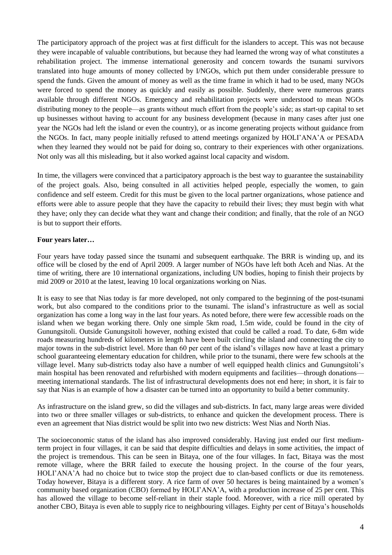The participatory approach of the project was at first difficult for the islanders to accept. This was not because they were incapable of valuable contributions, but because they had learned the wrong way of what constitutes a rehabilitation project. The immense international generosity and concern towards the tsunami survivors translated into huge amounts of money collected by I/NGOs, which put them under considerable pressure to spend the funds. Given the amount of money as well as the time frame in which it had to be used, many NGOs were forced to spend the money as quickly and easily as possible. Suddenly, there were numerous grants available through different NGOs. Emergency and rehabilitation projects were understood to mean NGOs distributing money to the people—as grants without much effort from the people's side; as start-up capital to set up businesses without having to account for any business development (because in many cases after just one year the NGOs had left the island or even the country), or as income generating projects without guidance from the NGOs. In fact, many people initially refused to attend meetings organized by HOLI'ANA'A or PESADA when they learned they would not be paid for doing so, contrary to their experiences with other organizations. Not only was all this misleading, but it also worked against local capacity and wisdom.

In time, the villagers were convinced that a participatory approach is the best way to guarantee the sustainability of the project goals. Also, being consulted in all activities helped people, especially the women, to gain confidence and self esteem. Credit for this must be given to the local partner organizations, whose patience and efforts were able to assure people that they have the capacity to rebuild their lives; they must begin with what they have; only they can decide what they want and change their condition; and finally, that the role of an NGO is but to support their efforts.

## **Four years later…**

Four years have today passed since the tsunami and subsequent earthquake. The BRR is winding up, and its office will be closed by the end of April 2009. A larger number of NGOs have left both Aceh and Nias. At the time of writing, there are 10 international organizations, including UN bodies, hoping to finish their projects by mid 2009 or 2010 at the latest, leaving 10 local organizations working on Nias.

It is easy to see that Nias today is far more developed, not only compared to the beginning of the post-tsunami work, but also compared to the conditions prior to the tsunami. The island's infrastructure as well as social organization has come a long way in the last four years. As noted before, there were few accessible roads on the island when we began working there. Only one simple 5km road, 1.5m wide, could be found in the city of Gunungsitoli. Outside Gunungsitoli however, nothing existed that could be called a road. To date, 6-8m wide roads measuring hundreds of kilometers in length have been built circling the island and connecting the city to major towns in the sub-district level. More than 60 per cent of the island's villages now have at least a primary school guaranteeing elementary education for children, while prior to the tsunami, there were few schools at the village level. Many sub-districts today also have a number of well equipped health clinics and Gunungsitoli's main hospital has been renovated and refurbished with modern equipments and facilities—through donations meeting international standards. The list of infrastructural developments does not end here; in short, it is fair to say that Nias is an example of how a disaster can be turned into an opportunity to build a better community.

As infrastructure on the island grew, so did the villages and sub-districts. In fact, many large areas were divided into two or three smaller villages or sub-districts, to enhance and quicken the development process. There is even an agreement that Nias district would be split into two new districts: West Nias and North Nias.

The socioeconomic status of the island has also improved considerably. Having just ended our first mediumterm project in four villages, it can be said that despite difficulties and delays in some activities, the impact of the project is tremendous. This can be seen in Bitaya, one of the four villages. In fact, Bitaya was the most remote village, where the BRR failed to execute the housing project. In the course of the four years, HOLI'ANA'A had no choice but to twice stop the project due to clan-based conflicts or due its remoteness. Today however, Bitaya is a different story. A rice farm of over 50 hectares is being maintained by a women's community based organization (CBO) formed by HOLI'ANA'A, with a production increase of 25 per cent. This has allowed the village to become self-reliant in their staple food. Moreover, with a rice mill operated by another CBO, Bitaya is even able to supply rice to neighbouring villages. Eighty per cent of Bitaya's households